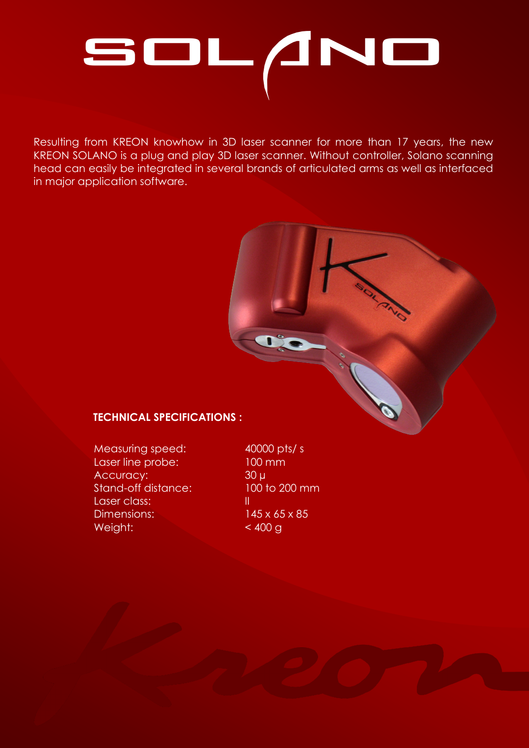

Resulting from KREON knowhow in 3D laser scanner for more than 17 years, the new KREON SOLANO is a plug and play 3D laser scanner. Without controller, Solano scanning head can easily be integrated in several brands of articulated arms as well as interfaced in major application software.

# **TECHNICAL SPECIFICATIONS :**

Measuring speed: 40000 pts/ s Laser line probe: 100 mm Accuracy: 30 µ Stand-off distance: 100 to 200 mm Laser class: III Dimensions: 145 x 65 x 85 Weight:  $< 400 g$